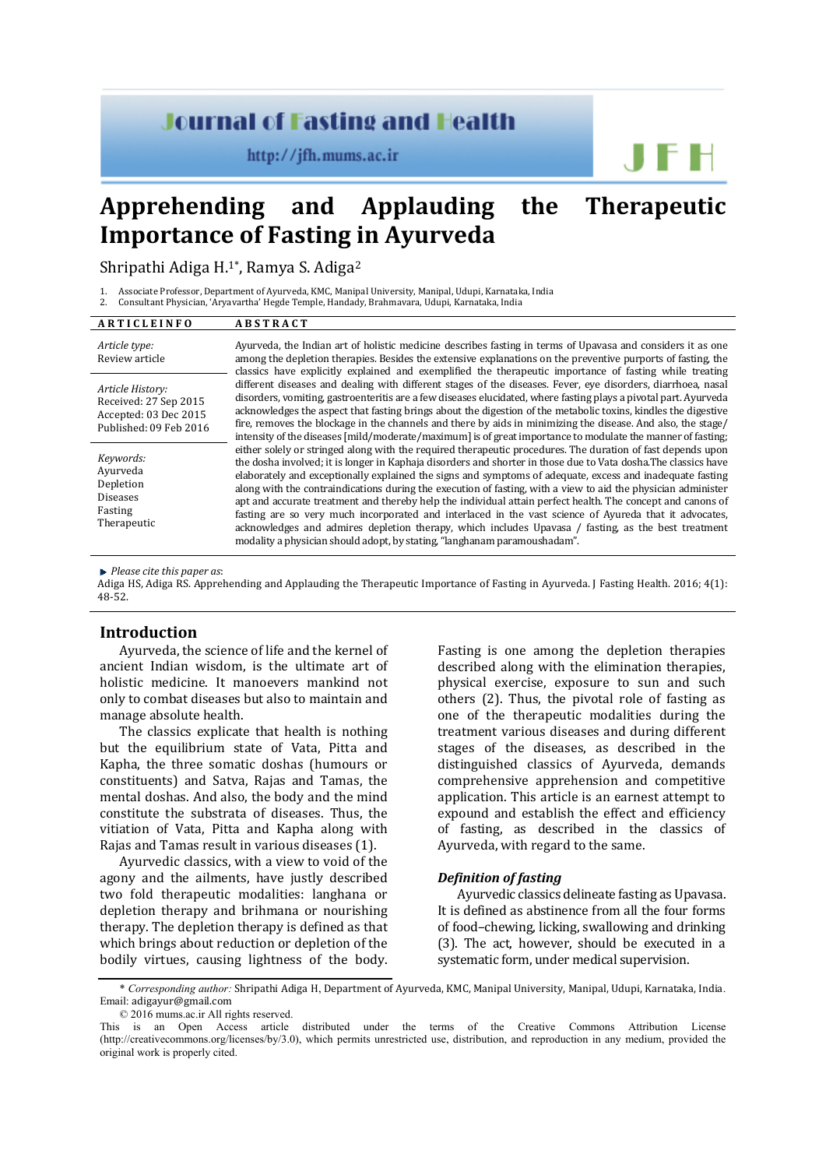# **Journal of Fasting and Health**

 $http://jfh.mums.ac.ir$ 

# **Apprehending and Applauding the Therapeutic Importance of Fasting in Ayurveda**

Shripathi Adiga H.<sup>1</sup>\*, Ramya S. Adiga<sup>2</sup>

1. Associate Professor, Department of Ayurveda, KMC, Manipal University, Manipal, Udupi, Karnataka, India

2. Consultant Physician, 'Aryavartha' Hegde Temple, Handady, Brahmavara, Udupi, Karnataka, India

| ARTICLEINFO                                                                                  | <b>ABSTRACT</b>                                                                                                                                                                                                                                                                                                                                                                                                                                                                                                                                                                                                                                                                                                                                                                                                                                                                                                                                                                                                                                                                                                                                                                                                                                                                                                                                                                                                                                                                                                                                                                                                                                                                                                                                                                                          |
|----------------------------------------------------------------------------------------------|----------------------------------------------------------------------------------------------------------------------------------------------------------------------------------------------------------------------------------------------------------------------------------------------------------------------------------------------------------------------------------------------------------------------------------------------------------------------------------------------------------------------------------------------------------------------------------------------------------------------------------------------------------------------------------------------------------------------------------------------------------------------------------------------------------------------------------------------------------------------------------------------------------------------------------------------------------------------------------------------------------------------------------------------------------------------------------------------------------------------------------------------------------------------------------------------------------------------------------------------------------------------------------------------------------------------------------------------------------------------------------------------------------------------------------------------------------------------------------------------------------------------------------------------------------------------------------------------------------------------------------------------------------------------------------------------------------------------------------------------------------------------------------------------------------|
| Article type:<br>Review article                                                              | Ayurveda, the Indian art of holistic medicine describes fasting in terms of Upavasa and considers it as one<br>among the depletion therapies. Besides the extensive explanations on the preventive purports of fasting, the<br>classics have explicitly explained and exemplified the therapeutic importance of fasting while treating<br>different diseases and dealing with different stages of the diseases. Fever, eve disorders, diarrhoea, nasal<br>disorders, vomiting, gastroenteritis are a few diseases elucidated, where fasting plays a pivotal part. Ayurveda<br>acknowledges the aspect that fasting brings about the digestion of the metabolic toxins, kindles the digestive<br>fire, removes the blockage in the channels and there by aids in minimizing the disease. And also, the stage/<br>intensity of the diseases [mild/moderate/maximum] is of great importance to modulate the manner of fasting;<br>either solely or stringed along with the required therapeutic procedures. The duration of fast depends upon<br>the dosha involved; it is longer in Kaphaja disorders and shorter in those due to Vata dosha. The classics have<br>elaborately and exceptionally explained the signs and symptoms of adequate, excess and inadequate fasting<br>along with the contraindications during the execution of fasting, with a view to aid the physician administer<br>apt and accurate treatment and thereby help the individual attain perfect health. The concept and canons of<br>fasting are so very much incorporated and interlaced in the vast science of Ayureda that it advocates,<br>acknowledges and admires depletion therapy, which includes Upavasa / fasting, as the best treatment<br>modality a physician should adopt, by stating, "langhanam paramoushadam". |
| Article History:<br>Received: 27 Sep 2015<br>Accepted: 03 Dec 2015<br>Published: 09 Feb 2016 |                                                                                                                                                                                                                                                                                                                                                                                                                                                                                                                                                                                                                                                                                                                                                                                                                                                                                                                                                                                                                                                                                                                                                                                                                                                                                                                                                                                                                                                                                                                                                                                                                                                                                                                                                                                                          |
| Keywords:<br>Ayurveda<br>Depletion<br><b>Diseases</b><br>Fasting<br>Therapeutic              |                                                                                                                                                                                                                                                                                                                                                                                                                                                                                                                                                                                                                                                                                                                                                                                                                                                                                                                                                                                                                                                                                                                                                                                                                                                                                                                                                                                                                                                                                                                                                                                                                                                                                                                                                                                                          |

*Please cite this paper as*:

Adiga HS, Adiga RS. Apprehending and Applauding the Therapeutic Importance of Fasting in Ayurveda. J Fasting Health. 2016; 4(1): 48-52.

### **Introduction**

Ayurveda, the science of life and the kernel of ancient Indian wisdom, is the ultimate art of holistic medicine. It manoevers mankind not only to combat diseases but also to maintain and manage absolute health.

The classics explicate that health is nothing but the equilibrium state of Vata, Pitta and Kapha, the three somatic doshas (humours or constituents) and Satva, Rajas and Tamas, the mental doshas. And also, the body and the mind constitute the substrata of diseases. Thus, the vitiation of Vata, Pitta and Kapha along with Rajas and Tamas result in various diseases (1).

Ayurvedic classics, with a view to void of the agony and the ailments, have justly described two fold therapeutic modalities: langhana or depletion therapy and brihmana or nourishing therapy. The depletion therapy is defined as that which brings about reduction or depletion of the bodily virtues, causing lightness of the body.

Fasting is one among the depletion therapies described along with the elimination therapies, physical exercise, exposure to sun and such others (2). Thus, the pivotal role of fasting as one of the therapeutic modalities during the treatment various diseases and during different stages of the diseases, as described in the distinguished classics of Ayurveda, demands comprehensive apprehension and competitive application. This article is an earnest attempt to expound and establish the effect and efficiency of fasting, as described in the classics of Ayurveda, with regard to the same.

JFH

#### *Definition of fasting*

Ayurvedic classics delineate fasting as Upavasa. It is defined as abstinence from all the four forms of food–chewing, licking, swallowing and drinking (3). The act, however, should be executed in a systematic form, under medical supervision.

© 2016 mums.ac.ir All rights reserved.

<sup>\*</sup> *Corresponding author:* Shripathi Adiga H, Department of Ayurveda, KMC, Manipal University, Manipal, Udupi, Karnataka, India. Email: adigayur@gmail.com

This is an Open Access article distributed under the terms of the Creative Commons Attribution License (http://creativecommons.org/licenses/by/3.0), which permits unrestricted use, distribution, and reproduction in any medium, provided the original work is properly cited.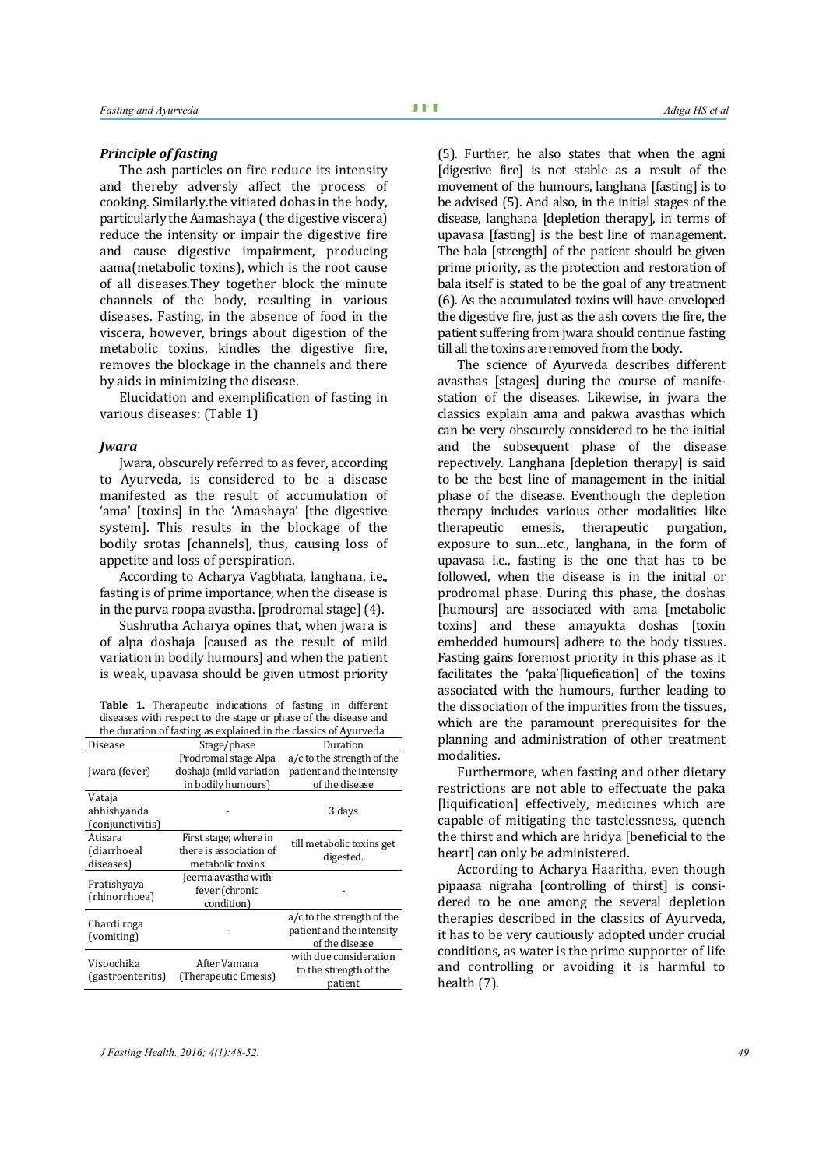#### *Principle of fasting*

The ash particles on fire reduce its intensity and thereby adversly affect the process of cooking. Similarly.the vitiated dohas in the body, particularly the Aamashaya ( the digestive viscera) reduce the intensity or impair the digestive fire and cause digestive impairment, producing aama(metabolic toxins), which is the root cause of all diseases.They together block the minute channels of the body, resulting in various diseases. Fasting, in the absence of food in the viscera, however, brings about digestion of the metabolic toxins, kindles the digestive fire, removes the blockage in the channels and there by aids in minimizing the disease.

Elucidation and exemplification of fasting in various diseases: (Table 1)

#### *Jwara*

Jwara, obscurely referred to as fever, according to Ayurveda, is considered to be a disease manifested as the result of accumulation of 'ama' [toxins] in the 'Amashaya' [the digestive system]. This results in the blockage of the bodily srotas [channels], thus, causing loss of appetite and loss of perspiration.

According to Acharya Vagbhata, langhana, i.e., fasting is of prime importance, when the disease is in the purva roopa avastha. [prodromal stage] (4).

Sushrutha Acharya opines that, when jwara is of alpa doshaja [caused as the result of mild variation in bodily humours] and when the patient is weak, upavasa should be given utmost priority

**Table 1.** Therapeutic indications of fasting in different diseases with respect to the stage or phase of the disease and the duration of fasting as explained in the classics of Ayurveda

| Disease                                   | Stage/phase                                                           | Duration                                                                  |
|-------------------------------------------|-----------------------------------------------------------------------|---------------------------------------------------------------------------|
| Jwara (fever)                             | Prodromal stage Alpa<br>doshaja (mild variation<br>in bodily humours) | a/c to the strength of the<br>patient and the intensity<br>of the disease |
| Vataja<br>abhishyanda<br>(conjunctivitis) |                                                                       | 3 days                                                                    |
| Atisara<br>(diarrhoeal<br>diseases)       | First stage; where in<br>there is association of<br>metabolic toxins  | till metabolic toxins get<br>digested.                                    |
| Pratishyaya<br>(rhinorrhoea)              | Jeerna avastha with<br>fever (chronic<br>condition)                   |                                                                           |
| Chardi roga<br>(vomiting)                 |                                                                       | a/c to the strength of the<br>patient and the intensity<br>of the disease |
| Visoochika<br>(gastroenteritis)           | After Vamana<br>(Therapeutic Emesis)                                  | with due consideration<br>to the strength of the<br>patient               |

(5). Further, he also states that when the agni [digestive fire] is not stable as a result of the movement of the humours, langhana [fasting] is to be advised (5). And also, in the initial stages of the disease, langhana [depletion therapy], in terms of upavasa [fasting] is the best line of management. The bala [strength] of the patient should be given prime priority, as the protection and restoration of bala itself is stated to be the goal of any treatment (6). As the accumulated toxins will have enveloped the digestive fire, just as the ash covers the fire, the patient suffering from jwara should continue fasting till all the toxins are removed from the body.

The science of Ayurveda describes different avasthas [stages] during the course of manifestation of the diseases. Likewise, in jwara the classics explain ama and pakwa avasthas which can be very obscurely considered to be the initial and the subsequent phase of the disease repectively. Langhana [depletion therapy] is said to be the best line of management in the initial phase of the disease. Eventhough the depletion therapy includes various other modalities like<br>therapeutic emesis, therapeutic purgation, therapeutic emesis, exposure to sun…etc., langhana, in the form of upavasa i.e., fasting is the one that has to be followed, when the disease is in the initial or prodromal phase. During this phase, the doshas [humours] are associated with ama [metabolic toxins] and these amayukta doshas [toxin embedded humours] adhere to the body tissues. Fasting gains foremost priority in this phase as it facilitates the 'paka'[liquefication] of the toxins associated with the humours, further leading to the dissociation of the impurities from the tissues, which are the paramount prerequisites for the planning and administration of other treatment modalities.

Furthermore, when fasting and other dietary restrictions are not able to effectuate the paka [liquification] effectively, medicines which are capable of mitigating the tastelessness, quench the thirst and which are hridya [beneficial to the heart] can only be administered.

According to Acharya Haaritha, even though pipaasa nigraha [controlling of thirst] is considered to be one among the several depletion therapies described in the classics of Ayurveda, it has to be very cautiously adopted under crucial conditions, as water is the prime supporter of life and controlling or avoiding it is harmful to health (7).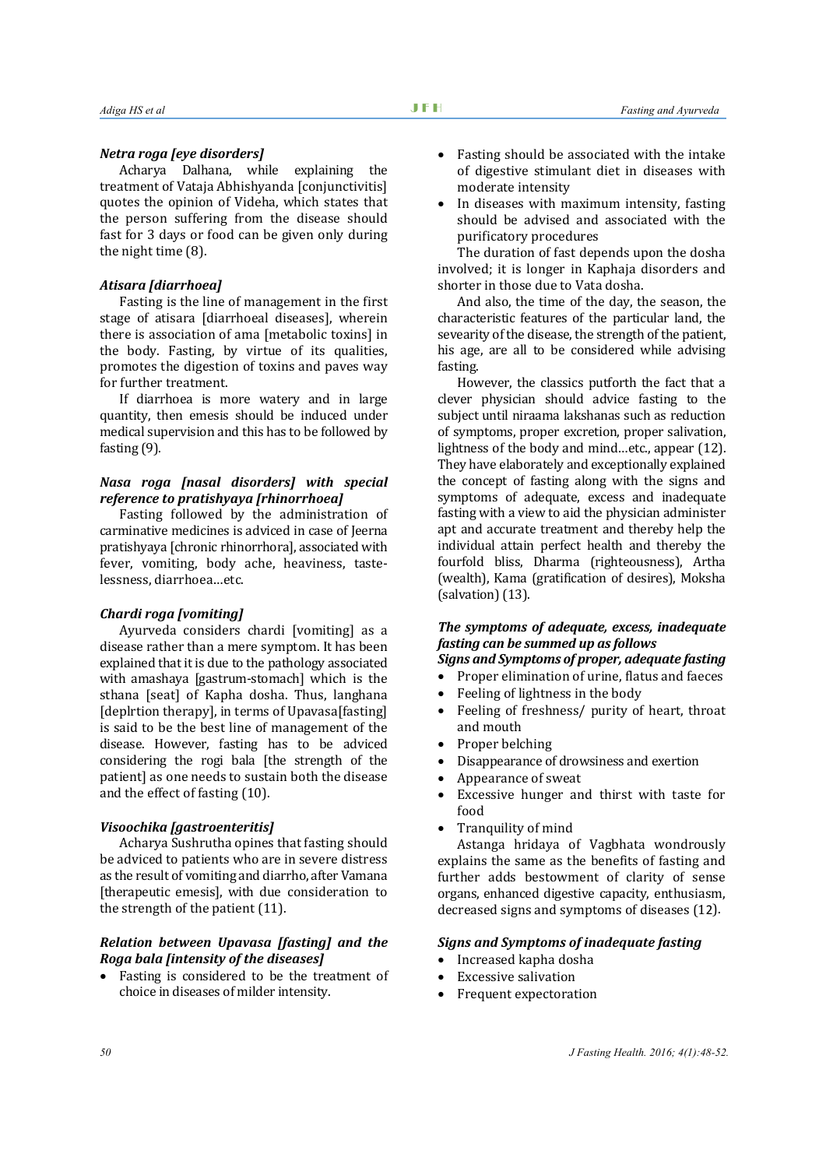#### *Netra roga [eye disorders]*

Acharya Dalhana, while explaining the treatment of Vataja Abhishyanda [conjunctivitis] quotes the opinion of Videha, which states that the person suffering from the disease should fast for 3 days or food can be given only during the night time (8).

#### *Atisara [diarrhoea]*

Fasting is the line of management in the first stage of atisara [diarrhoeal diseases], wherein there is association of ama [metabolic toxins] in the body. Fasting, by virtue of its qualities, promotes the digestion of toxins and paves way for further treatment.

If diarrhoea is more watery and in large quantity, then emesis should be induced under medical supervision and this has to be followed by fasting (9).

#### *Nasa roga [nasal disorders] with special reference to pratishyaya [rhinorrhoea]*

Fasting followed by the administration of carminative medicines is adviced in case of Jeerna pratishyaya [chronic rhinorrhora], associated with fever, vomiting, body ache, heaviness, tastelessness, diarrhoea…etc.

#### *Chardi roga [vomiting]*

Ayurveda considers chardi [vomiting] as a disease rather than a mere symptom. It has been explained that it is due to the pathology associated with amashaya [gastrum-stomach] which is the sthana [seat] of Kapha dosha. Thus, langhana [deplrtion therapy], in terms of Upavasa[fasting] is said to be the best line of management of the disease. However, fasting has to be adviced considering the rogi bala [the strength of the patient] as one needs to sustain both the disease and the effect of fasting (10).

#### *Visoochika [gastroenteritis]*

Acharya Sushrutha opines that fasting should be adviced to patients who are in severe distress as the result of vomiting and diarrho, after Vamana [therapeutic emesis], with due consideration to the strength of the patient (11).

### *Relation between Upavasa [fasting] and the Roga bala [intensity of the diseases]*

• Fasting is considered to be the treatment of choice in diseases of milder intensity.

- Fasting should be associated with the intake of digestive stimulant diet in diseases with moderate intensity
- In diseases with maximum intensity, fasting should be advised and associated with the purificatory procedures

The duration of fast depends upon the dosha involved; it is longer in Kaphaja disorders and shorter in those due to Vata dosha.

And also, the time of the day, the season, the characteristic features of the particular land, the sevearity of the disease, the strength of the patient, his age, are all to be considered while advising fasting.

However, the classics putforth the fact that a clever physician should advice fasting to the subject until niraama lakshanas such as reduction of symptoms, proper excretion, proper salivation, lightness of the body and mind…etc., appear (12). They have elaborately and exceptionally explained the concept of fasting along with the signs and symptoms of adequate, excess and inadequate fasting with a view to aid the physician administer apt and accurate treatment and thereby help the individual attain perfect health and thereby the fourfold bliss, Dharma (righteousness), Artha (wealth), Kama (gratification of desires), Moksha (salvation) (13).

# *The symptoms of adequate, excess, inadequate fasting can be summed up as follows*

# *Signs and Symptoms of proper, adequate fasting*

- Proper elimination of urine, flatus and faeces
- Feeling of lightness in the body<br>• Feeling of freshness / purity of
- Feeling of freshness/ purity of heart, throat and mouth
- Proper belching
- Disappearance of drowsiness and exertion
- Appearance of sweat
- Excessive hunger and thirst with taste for food
- Tranquility of mind

Astanga hridaya of Vagbhata wondrously explains the same as the benefits of fasting and further adds bestowment of clarity of sense organs, enhanced digestive capacity, enthusiasm, decreased signs and symptoms of diseases (12).

## *Signs and Symptoms of inadequate fasting*

- Increased kapha dosha
- Excessive salivation
- Frequent expectoration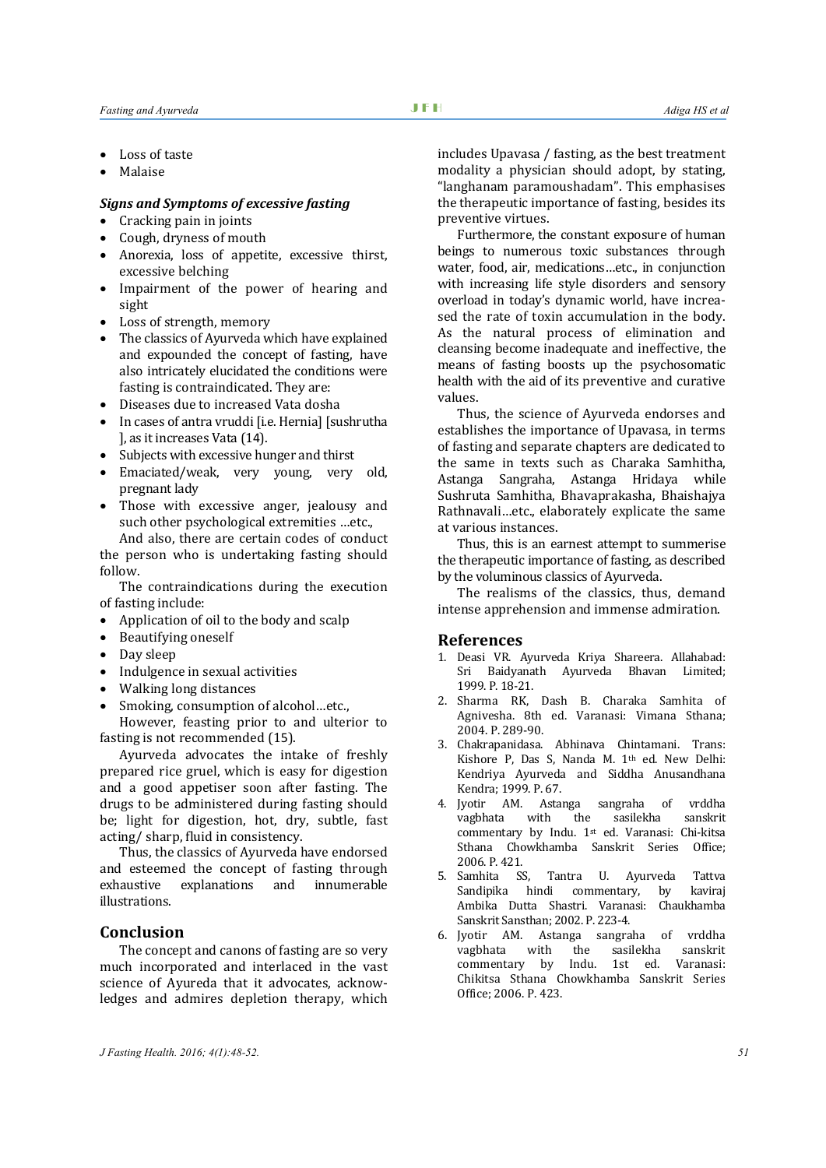- Loss of taste
- Malaise

#### *Signs and Symptoms of excessive fasting*

- Cracking pain in joints
- Cough, dryness of mouth
- Anorexia, loss of appetite, excessive thirst, excessive belching
- Impairment of the power of hearing and sight
- Loss of strength, memory
- The classics of Ayurveda which have explained and expounded the concept of fasting, have also intricately elucidated the conditions were fasting is contraindicated. They are:
- Diseases due to increased Vata dosha
- In cases of antra vruddi [i.e. Hernia] [sushrutha ], as it increases Vata (14).
- Subjects with excessive hunger and thirst
- Emaciated/weak, very young, very old, pregnant lady
- Those with excessive anger, jealousy and such other psychological extremities …etc.,

And also, there are certain codes of conduct the person who is undertaking fasting should follow.

The contraindications during the execution of fasting include:

- Application of oil to the body and scalp
- Beautifying oneself
- Day sleep
- Indulgence in sexual activities
- Walking long distances
- Smoking, consumption of alcohol…etc.,

However, feasting prior to and ulterior to fasting is not recommended (15).

Ayurveda advocates the intake of freshly prepared rice gruel, which is easy for digestion and a good appetiser soon after fasting. The drugs to be administered during fasting should be; light for digestion, hot, dry, subtle, fast acting/ sharp, fluid in consistency.

Thus, the classics of Ayurveda have endorsed and esteemed the concept of fasting through<br>exhaustive explanations and innumerable explanations illustrations.

## **Conclusion**

The concept and canons of fasting are so very much incorporated and interlaced in the vast science of Ayureda that it advocates, acknowledges and admires depletion therapy, which

includes Upavasa / fasting, as the best treatment modality a physician should adopt, by stating, "langhanam paramoushadam". This emphasises the therapeutic importance of fasting, besides its preventive virtues.

Furthermore, the constant exposure of human beings to numerous toxic substances through water, food, air, medications…etc., in conjunction with increasing life style disorders and sensory overload in today's dynamic world, have increased the rate of toxin accumulation in the body. As the natural process of elimination and cleansing become inadequate and ineffective, the means of fasting boosts up the psychosomatic health with the aid of its preventive and curative values.

Thus, the science of Ayurveda endorses and establishes the importance of Upavasa, in terms of fasting and separate chapters are dedicated to the same in texts such as Charaka Samhitha, Astanga Sangraha, Astanga Hridaya while Sushruta Samhitha, Bhavaprakasha, Bhaishajya Rathnavali…etc., elaborately explicate the same at various instances.

Thus, this is an earnest attempt to summerise the therapeutic importance of fasting, as described by the voluminous classics of Ayurveda.

The realisms of the classics, thus, demand intense apprehension and immense admiration.

#### **References**

- 1. Deasi VR. Ayurveda Kriya Shareera. Allahabad: Sri Baidyanath Ayurveda Bhavan Limited; 1999. P. 18-21.
- 2. Sharma RK, Dash B. Charaka Samhita of Agnivesha. 8th ed. Varanasi: Vimana Sthana; 2004. P. 289-90.
- 3. Chakrapanidasa. Abhinava Chintamani. Trans: Kishore P, Das S, Nanda M. 1th ed. New Delhi: Kendriya Ayurveda and Siddha Anusandhana Kendra; 1999. P. 67.
- 4. Jyotir AM. Astanga sangraha of vrddha vagbhata with the sasilekha sanskrit commentary by Indu. 1st ed. Varanasi: Chi-kitsa Sthana Chowkhamba Sanskrit Series Office; 2006. P. 421.<br>5. Samhita SS.
- Tantra U. Ayurveda Tattva<br>di commentary, by kaviraj Sandipika hindi Ambika Dutta Shastri. Varanasi: Chaukhamba Sanskrit Sansthan; 2002. P. 223-4.
- 6. Jyotir AM. Astanga sangraha of vrddha vagbhata with the sasilekha sanskrit commentary by Indu. 1st ed. Varanasi: Chikitsa Sthana Chowkhamba Sanskrit Series Office; 2006. P. 423.